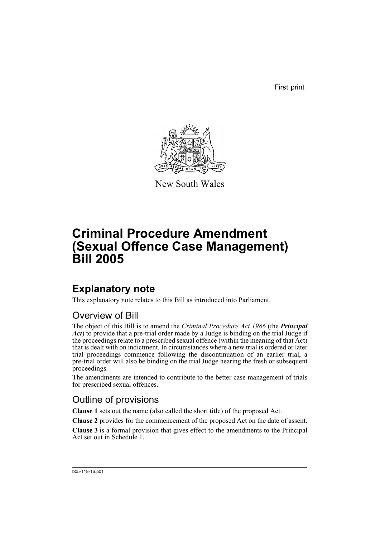First print



New South Wales

# **Criminal Procedure Amendment (Sexual Offence Case Management) Bill 2005**

# **Explanatory note**

This explanatory note relates to this Bill as introduced into Parliament.

## Overview of Bill

The object of this Bill is to amend the *Criminal Procedure Act 1986* (the *Principal Act*) to provide that a pre-trial order made by a Judge is binding on the trial Judge if the proceedings relate to a prescribed sexual offence (within the meaning of that Act) that is dealt with on indictment. In circumstances where a new trial is ordered or later trial proceedings commence following the discontinuation of an earlier trial, a pre-trial order will also be binding on the trial Judge hearing the fresh or subsequent proceedings.

The amendments are intended to contribute to the better case management of trials for prescribed sexual offences.

## Outline of provisions

**Clause 1** sets out the name (also called the short title) of the proposed Act.

**Clause 2** provides for the commencement of the proposed Act on the date of assent.

**Clause 3** is a formal provision that gives effect to the amendments to the Principal Act set out in Schedule 1.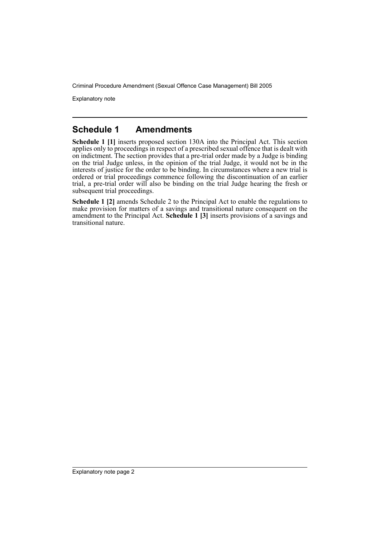Explanatory note

### **Schedule 1 Amendments**

**Schedule 1 [1]** inserts proposed section 130A into the Principal Act. This section applies only to proceedings in respect of a prescribed sexual offence that is dealt with on indictment. The section provides that a pre-trial order made by a Judge is binding on the trial Judge unless, in the opinion of the trial Judge, it would not be in the interests of justice for the order to be binding. In circumstances where a new trial is ordered or trial proceedings commence following the discontinuation of an earlier trial, a pre-trial order will also be binding on the trial Judge hearing the fresh or subsequent trial proceedings.

**Schedule 1 [2]** amends Schedule 2 to the Principal Act to enable the regulations to make provision for matters of a savings and transitional nature consequent on the amendment to the Principal Act. **Schedule 1 [3]** inserts provisions of a savings and transitional nature.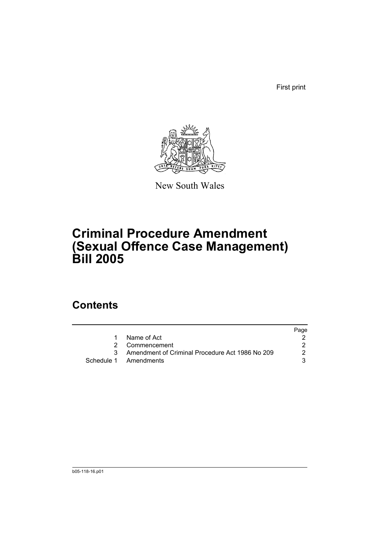First print



New South Wales

# **Criminal Procedure Amendment (Sexual Offence Case Management) Bill 2005**

## **Contents**

|   |                                                   | Page |
|---|---------------------------------------------------|------|
| 1 | Name of Act                                       |      |
|   | 2 Commencement                                    |      |
|   | 3 Amendment of Criminal Procedure Act 1986 No 209 | 2    |
|   | Schedule 1 Amendments                             |      |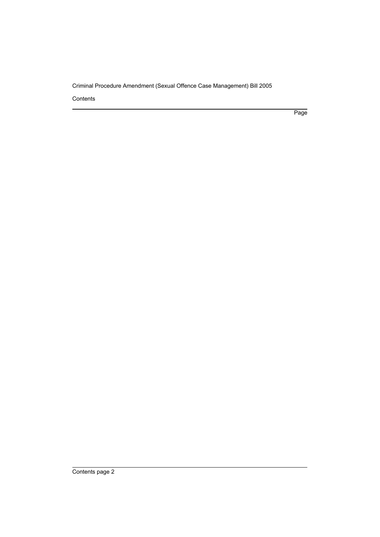**Contents** 

Page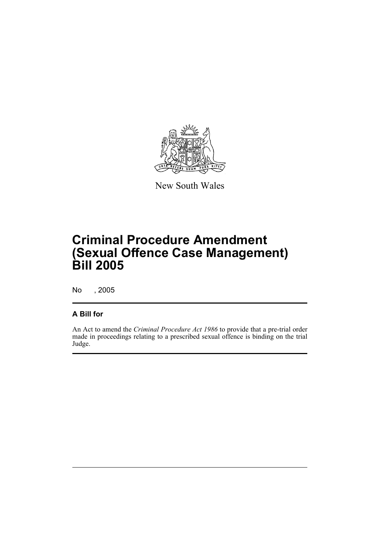

New South Wales

# **Criminal Procedure Amendment (Sexual Offence Case Management) Bill 2005**

No , 2005

#### **A Bill for**

An Act to amend the *Criminal Procedure Act 1986* to provide that a pre-trial order made in proceedings relating to a prescribed sexual offence is binding on the trial Judge.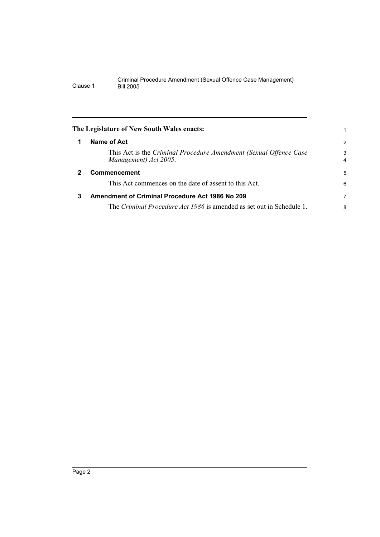<span id="page-5-2"></span><span id="page-5-1"></span><span id="page-5-0"></span>

|              | The Legislature of New South Wales enacts:                                                 |                     |
|--------------|--------------------------------------------------------------------------------------------|---------------------|
|              |                                                                                            |                     |
| 1            | Name of Act                                                                                | 2                   |
|              | This Act is the Criminal Procedure Amendment (Sexual Offence Case<br>Management) Act 2005. | 3<br>$\overline{4}$ |
| $\mathbf{2}$ | Commencement                                                                               | 5                   |
|              | This Act commences on the date of assent to this Act.                                      | 6                   |
| 3            | <b>Amendment of Criminal Procedure Act 1986 No 209</b>                                     | 7                   |
|              | The Criminal Procedure Act 1986 is amended as set out in Schedule 1.                       | 8                   |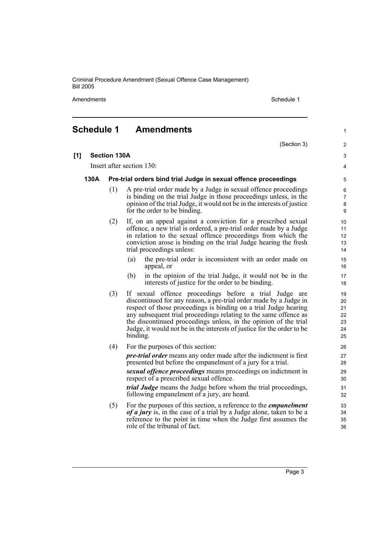Amendments **Schedule 1** Schedule 1

(Section 3)

1

 $\overline{2}$ 3 4

### <span id="page-6-0"></span>**Schedule 1 Amendments**

**[1] Section 130A**

Insert after section 130:

#### **130A Pre-trial orders bind trial Judge in sexual offence proceedings**

- (1) A pre-trial order made by a Judge in sexual offence proceedings is binding on the trial Judge in those proceedings unless, in the opinion of the trial Judge, it would not be in the interests of justice for the order to be binding.
- (2) If, on an appeal against a conviction for a prescribed sexual offence, a new trial is ordered, a pre-trial order made by a Judge in relation to the sexual offence proceedings from which the conviction arose is binding on the trial Judge hearing the fresh trial proceedings unless:
	- (a) the pre-trial order is inconsistent with an order made on appeal, or
	- (b) in the opinion of the trial Judge, it would not be in the interests of justice for the order to be binding.
- (3) If sexual offence proceedings before a trial Judge are discontinued for any reason, a pre-trial order made by a Judge in respect of those proceedings is binding on a trial Judge hearing any subsequent trial proceedings relating to the same offence as the discontinued proceedings unless, in the opinion of the trial Judge, it would not be in the interests of justice for the order to be binding.
- (4) For the purposes of this section:

*pre-trial order* means any order made after the indictment is first presented but before the empanelment of a jury for a trial.

*sexual offence proceedings* means proceedings on indictment in respect of a prescribed sexual offence.

*trial Judge* means the Judge before whom the trial proceedings, following empanelment of a jury, are heard.

(5) For the purposes of this section, a reference to the *empanelment of a jury* is, in the case of a trial by a Judge alone, taken to be a reference to the point in time when the Judge first assumes the role of the tribunal of fact.

Page 3